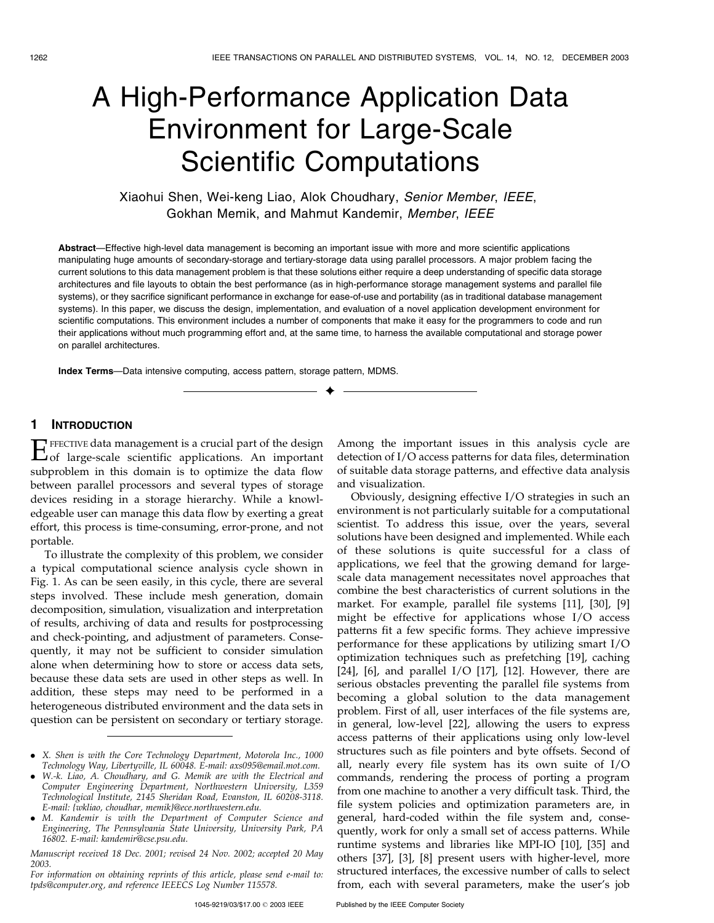# A High-Performance Application Data Environment for Large-Scale Scientific Computations

# Xiaohui Shen, Wei-keng Liao, Alok Choudhary, Senior Member, IEEE, Gokhan Memik, and Mahmut Kandemir, Member, IEEE

Abstract—Effective high-level data management is becoming an important issue with more and more scientific applications manipulating huge amounts of secondary-storage and tertiary-storage data using parallel processors. A major problem facing the current solutions to this data management problem is that these solutions either require a deep understanding of specific data storage architectures and file layouts to obtain the best performance (as in high-performance storage management systems and parallel file systems), or they sacrifice significant performance in exchange for ease-of-use and portability (as in traditional database management systems). In this paper, we discuss the design, implementation, and evaluation of a novel application development environment for scientific computations. This environment includes a number of components that make it easy for the programmers to code and run their applications without much programming effort and, at the same time, to harness the available computational and storage power on parallel architectures.

 $\ddotmark$ 

Index Terms—Data intensive computing, access pattern, storage pattern, MDMS.

#### 1 INTRODUCTION

EFFECTIVE data management is a crucial part of the design of large-scale scientific applications. An important subproblem in this domain is to optimize the data flow between parallel processors and several types of storage devices residing in a storage hierarchy. While a knowledgeable user can manage this data flow by exerting a great effort, this process is time-consuming, error-prone, and not portable.

To illustrate the complexity of this problem, we consider a typical computational science analysis cycle shown in Fig. 1. As can be seen easily, in this cycle, there are several steps involved. These include mesh generation, domain decomposition, simulation, visualization and interpretation of results, archiving of data and results for postprocessing and check-pointing, and adjustment of parameters. Consequently, it may not be sufficient to consider simulation alone when determining how to store or access data sets, because these data sets are used in other steps as well. In addition, these steps may need to be performed in a heterogeneous distributed environment and the data sets in question can be persistent on secondary or tertiary storage.

Manuscript received 18 Dec. 2001; revised 24 Nov. 2002; accepted 20 May 2003.

For information on obtaining reprints of this article, please send e-mail to: tpds@computer.org, and reference IEEECS Log Number 115578.

Among the important issues in this analysis cycle are detection of I/O access patterns for data files, determination of suitable data storage patterns, and effective data analysis and visualization.

Obviously, designing effective I/O strategies in such an environment is not particularly suitable for a computational scientist. To address this issue, over the years, several solutions have been designed and implemented. While each of these solutions is quite successful for a class of applications, we feel that the growing demand for largescale data management necessitates novel approaches that combine the best characteristics of current solutions in the market. For example, parallel file systems [11], [30], [9] might be effective for applications whose I/O access patterns fit a few specific forms. They achieve impressive performance for these applications by utilizing smart I/O optimization techniques such as prefetching [19], caching [24], [6], and parallel I/O [17], [12]. However, there are serious obstacles preventing the parallel file systems from becoming a global solution to the data management problem. First of all, user interfaces of the file systems are, in general, low-level [22], allowing the users to express access patterns of their applications using only low-level structures such as file pointers and byte offsets. Second of all, nearly every file system has its own suite of I/O commands, rendering the process of porting a program from one machine to another a very difficult task. Third, the file system policies and optimization parameters are, in general, hard-coded within the file system and, consequently, work for only a small set of access patterns. While runtime systems and libraries like MPI-IO [10], [35] and others [37], [3], [8] present users with higher-level, more structured interfaces, the excessive number of calls to select from, each with several parameters, make the user's job

<sup>.</sup> X. Shen is with the Core Technology Department, Motorola Inc., 1000 Technology Way, Libertyville, IL 60048. E-mail: axs095@email.mot.com.

<sup>.</sup> W.-k. Liao, A. Choudhary, and G. Memik are with the Electrical and Computer Engineering Department, Northwestern University, L359 Technological Institute, 2145 Sheridan Road, Evanston, IL 60208-3118. E-mail: {wkliao, choudhar, memik}@ece.northwestern.edu.

<sup>.</sup> M. Kandemir is with the Department of Computer Science and Engineering, The Pennsylvania State University, University Park, PA 16802. E-mail: kandemir@cse.psu.edu.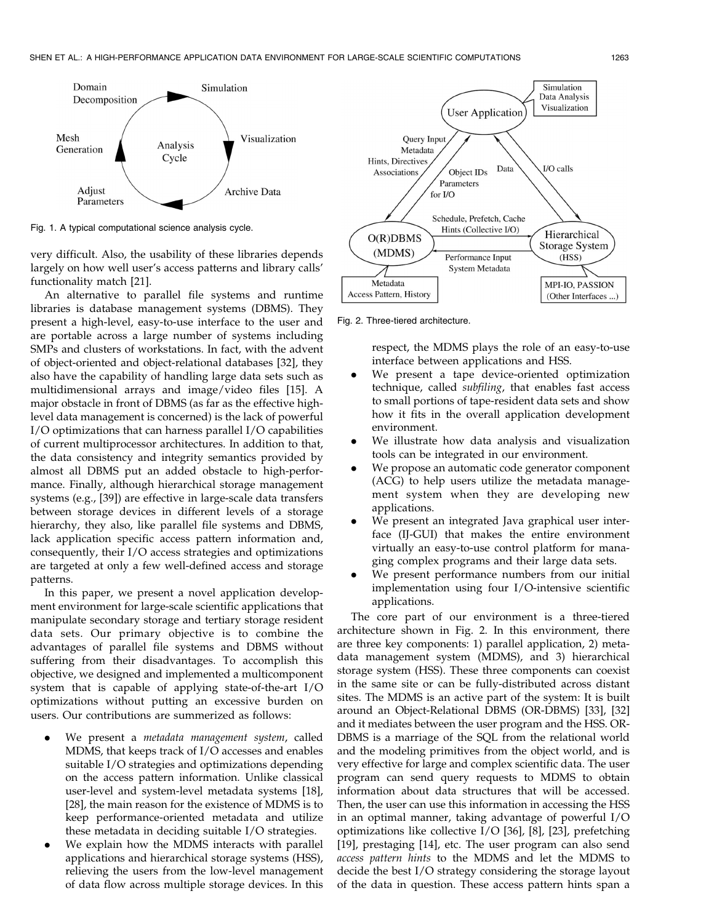

Fig. 1. A typical computational science analysis cycle.

very difficult. Also, the usability of these libraries depends largely on how well user's access patterns and library calls' functionality match [21].

An alternative to parallel file systems and runtime libraries is database management systems (DBMS). They present a high-level, easy-to-use interface to the user and are portable across a large number of systems including SMPs and clusters of workstations. In fact, with the advent of object-oriented and object-relational databases [32], they also have the capability of handling large data sets such as multidimensional arrays and image/video files [15]. A major obstacle in front of DBMS (as far as the effective highlevel data management is concerned) is the lack of powerful I/O optimizations that can harness parallel I/O capabilities of current multiprocessor architectures. In addition to that, the data consistency and integrity semantics provided by almost all DBMS put an added obstacle to high-performance. Finally, although hierarchical storage management systems (e.g., [39]) are effective in large-scale data transfers between storage devices in different levels of a storage hierarchy, they also, like parallel file systems and DBMS, lack application specific access pattern information and, consequently, their I/O access strategies and optimizations are targeted at only a few well-defined access and storage patterns.

In this paper, we present a novel application development environment for large-scale scientific applications that manipulate secondary storage and tertiary storage resident data sets. Our primary objective is to combine the advantages of parallel file systems and DBMS without suffering from their disadvantages. To accomplish this objective, we designed and implemented a multicomponent system that is capable of applying state-of-the-art I/O optimizations without putting an excessive burden on users. Our contributions are summerized as follows:

- We present a metadata management system, called MDMS, that keeps track of I/O accesses and enables suitable I/O strategies and optimizations depending on the access pattern information. Unlike classical user-level and system-level metadata systems [18], [28], the main reason for the existence of MDMS is to keep performance-oriented metadata and utilize these metadata in deciding suitable I/O strategies.
- . We explain how the MDMS interacts with parallel applications and hierarchical storage systems (HSS), relieving the users from the low-level management of data flow across multiple storage devices. In this



Fig. 2. Three-tiered architecture.

respect, the MDMS plays the role of an easy-to-use interface between applications and HSS.

- . We present a tape device-oriented optimization technique, called subfiling, that enables fast access to small portions of tape-resident data sets and show how it fits in the overall application development environment.
- . We illustrate how data analysis and visualization tools can be integrated in our environment.
- . We propose an automatic code generator component (ACG) to help users utilize the metadata management system when they are developing new applications.
- . We present an integrated Java graphical user interface (IJ-GUI) that makes the entire environment virtually an easy-to-use control platform for managing complex programs and their large data sets.
- . We present performance numbers from our initial implementation using four I/O-intensive scientific applications.

The core part of our environment is a three-tiered architecture shown in Fig. 2. In this environment, there are three key components: 1) parallel application, 2) metadata management system (MDMS), and 3) hierarchical storage system (HSS). These three components can coexist in the same site or can be fully-distributed across distant sites. The MDMS is an active part of the system: It is built around an Object-Relational DBMS (OR-DBMS) [33], [32] and it mediates between the user program and the HSS. OR-DBMS is a marriage of the SQL from the relational world and the modeling primitives from the object world, and is very effective for large and complex scientific data. The user program can send query requests to MDMS to obtain information about data structures that will be accessed. Then, the user can use this information in accessing the HSS in an optimal manner, taking advantage of powerful I/O optimizations like collective I/O [36], [8], [23], prefetching [19], prestaging [14], etc. The user program can also send access pattern hints to the MDMS and let the MDMS to decide the best I/O strategy considering the storage layout of the data in question. These access pattern hints span a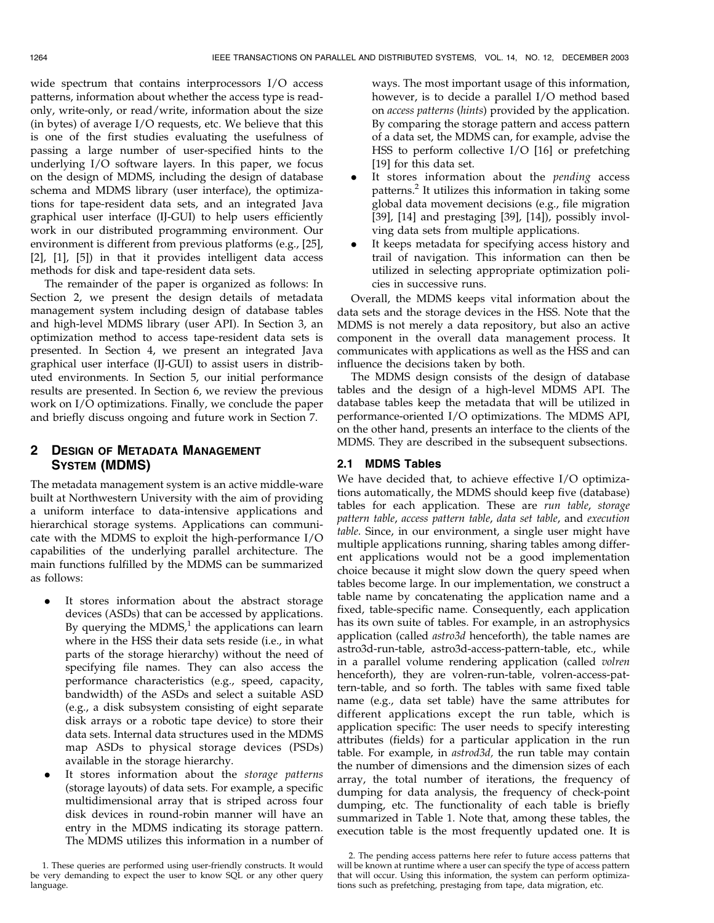wide spectrum that contains interprocessors I/O access patterns, information about whether the access type is readonly, write-only, or read/write, information about the size (in bytes) of average I/O requests, etc. We believe that this is one of the first studies evaluating the usefulness of passing a large number of user-specified hints to the underlying I/O software layers. In this paper, we focus on the design of MDMS, including the design of database schema and MDMS library (user interface), the optimizations for tape-resident data sets, and an integrated Java graphical user interface (IJ-GUI) to help users efficiently work in our distributed programming environment. Our environment is different from previous platforms (e.g., [25], [2], [1], [5]) in that it provides intelligent data access methods for disk and tape-resident data sets.

The remainder of the paper is organized as follows: In Section 2, we present the design details of metadata management system including design of database tables and high-level MDMS library (user API). In Section 3, an optimization method to access tape-resident data sets is presented. In Section 4, we present an integrated Java graphical user interface (IJ-GUI) to assist users in distributed environments. In Section 5, our initial performance results are presented. In Section 6, we review the previous work on I/O optimizations. Finally, we conclude the paper and briefly discuss ongoing and future work in Section 7.

# 2 DESIGN OF METADATA MANAGEMENT SYSTEM (MDMS)

The metadata management system is an active middle-ware built at Northwestern University with the aim of providing a uniform interface to data-intensive applications and hierarchical storage systems. Applications can communicate with the MDMS to exploit the high-performance I/O capabilities of the underlying parallel architecture. The main functions fulfilled by the MDMS can be summarized as follows:

- It stores information about the abstract storage devices (ASDs) that can be accessed by applications. By querying the MDMS, $1$  the applications can learn where in the HSS their data sets reside (i.e., in what parts of the storage hierarchy) without the need of specifying file names. They can also access the performance characteristics (e.g., speed, capacity, bandwidth) of the ASDs and select a suitable ASD (e.g., a disk subsystem consisting of eight separate disk arrays or a robotic tape device) to store their data sets. Internal data structures used in the MDMS map ASDs to physical storage devices (PSDs) available in the storage hierarchy.
- It stores information about the storage patterns (storage layouts) of data sets. For example, a specific multidimensional array that is striped across four disk devices in round-robin manner will have an entry in the MDMS indicating its storage pattern. The MDMS utilizes this information in a number of

ways. The most important usage of this information, however, is to decide a parallel I/O method based on access patterns (hints) provided by the application. By comparing the storage pattern and access pattern of a data set, the MDMS can, for example, advise the HSS to perform collective I/O [16] or prefetching [19] for this data set.

- It stores information about the *pending* access patterns.<sup>2</sup> It utilizes this information in taking some global data movement decisions (e.g., file migration [39], [14] and prestaging [39], [14]), possibly involving data sets from multiple applications.
- . It keeps metadata for specifying access history and trail of navigation. This information can then be utilized in selecting appropriate optimization policies in successive runs.

Overall, the MDMS keeps vital information about the data sets and the storage devices in the HSS. Note that the MDMS is not merely a data repository, but also an active component in the overall data management process. It communicates with applications as well as the HSS and can influence the decisions taken by both.

The MDMS design consists of the design of database tables and the design of a high-level MDMS API. The database tables keep the metadata that will be utilized in performance-oriented I/O optimizations. The MDMS API, on the other hand, presents an interface to the clients of the MDMS. They are described in the subsequent subsections.

#### 2.1 MDMS Tables

We have decided that, to achieve effective I/O optimizations automatically, the MDMS should keep five (database) tables for each application. These are run table, storage pattern table, access pattern table, data set table, and execution table. Since, in our environment, a single user might have multiple applications running, sharing tables among different applications would not be a good implementation choice because it might slow down the query speed when tables become large. In our implementation, we construct a table name by concatenating the application name and a fixed, table-specific name. Consequently, each application has its own suite of tables. For example, in an astrophysics application (called *astro3d* henceforth), the table names are astro3d-run-table, astro3d-access-pattern-table, etc., while in a parallel volume rendering application (called volren henceforth), they are volren-run-table, volren-access-pattern-table, and so forth. The tables with same fixed table name (e.g., data set table) have the same attributes for different applications except the run table, which is application specific: The user needs to specify interesting attributes (fields) for a particular application in the run table. For example, in astrod3d, the run table may contain the number of dimensions and the dimension sizes of each array, the total number of iterations, the frequency of dumping for data analysis, the frequency of check-point dumping, etc. The functionality of each table is briefly summarized in Table 1. Note that, among these tables, the execution table is the most frequently updated one. It is

<sup>1.</sup> These queries are performed using user-friendly constructs. It would be very demanding to expect the user to know SQL or any other query language.

<sup>2.</sup> The pending access patterns here refer to future access patterns that will be known at runtime where a user can specify the type of access pattern that will occur. Using this information, the system can perform optimizations such as prefetching, prestaging from tape, data migration, etc.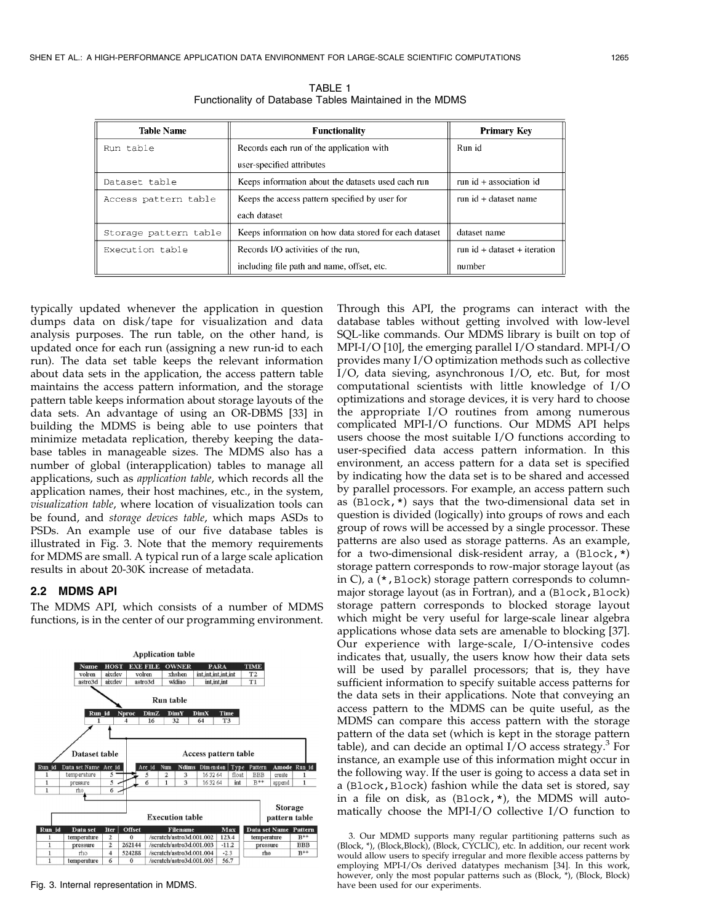| <b>Table Name</b>     | <b>Functionality</b>                                  | <b>Primary Key</b>             |  |
|-----------------------|-------------------------------------------------------|--------------------------------|--|
| Run table             | Records each run of the application with              | Run id                         |  |
|                       | user-specified attributes                             |                                |  |
| Dataset table         | Keeps information about the datasets used each run    | run $id +$ association id      |  |
| Access pattern table  | Keeps the access pattern specified by user for        | run id + dataset name          |  |
|                       | each dataset                                          |                                |  |
| Storage pattern table | Keeps information on how data stored for each dataset | dataset name                   |  |
| Execution table       | Records I/O activities of the run,                    | run $id + dataset + iteration$ |  |
|                       | including file path and name, offset, etc.            | number                         |  |

TABLE 1 Functionality of Database Tables Maintained in the MDMS

typically updated whenever the application in question dumps data on disk/tape for visualization and data analysis purposes. The run table, on the other hand, is updated once for each run (assigning a new run-id to each run). The data set table keeps the relevant information about data sets in the application, the access pattern table maintains the access pattern information, and the storage pattern table keeps information about storage layouts of the data sets. An advantage of using an OR-DBMS [33] in building the MDMS is being able to use pointers that minimize metadata replication, thereby keeping the database tables in manageable sizes. The MDMS also has a number of global (interapplication) tables to manage all applications, such as application table, which records all the application names, their host machines, etc., in the system, visualization table, where location of visualization tools can be found, and storage devices table, which maps ASDs to PSDs. An example use of our five database tables is illustrated in Fig. 3. Note that the memory requirements for MDMS are small. A typical run of a large scale aplication results in about 20-30K increase of metadata.

#### 2.2 MDMS API

The MDMS API, which consists of a number of MDMS functions, is in the center of our programming environment.



Fig. 3. Internal representation in MDMS.

Through this API, the programs can interact with the database tables without getting involved with low-level SQL-like commands. Our MDMS library is built on top of MPI-I/O [10], the emerging parallel I/O standard. MPI-I/O provides many I/O optimization methods such as collective I/O, data sieving, asynchronous I/O, etc. But, for most computational scientists with little knowledge of I/O optimizations and storage devices, it is very hard to choose the appropriate I/O routines from among numerous complicated MPI-I/O functions. Our MDMS API helps users choose the most suitable I/O functions according to user-specified data access pattern information. In this environment, an access pattern for a data set is specified by indicating how the data set is to be shared and accessed by parallel processors. For example, an access pattern such as (Block,\*) says that the two-dimensional data set in question is divided (logically) into groups of rows and each group of rows will be accessed by a single processor. These patterns are also used as storage patterns. As an example, for a two-dimensional disk-resident array, a (Block,\*) storage pattern corresponds to row-major storage layout (as in C), a (\*,Block) storage pattern corresponds to columnmajor storage layout (as in Fortran), and a (Block, Block) storage pattern corresponds to blocked storage layout which might be very useful for large-scale linear algebra applications whose data sets are amenable to blocking [37]. Our experience with large-scale, I/O-intensive codes indicates that, usually, the users know how their data sets will be used by parallel processors; that is, they have sufficient information to specify suitable access patterns for the data sets in their applications. Note that conveying an access pattern to the MDMS can be quite useful, as the MDMS can compare this access pattern with the storage pattern of the data set (which is kept in the storage pattern table), and can decide an optimal  $I/O$  access strategy.<sup>3</sup> For instance, an example use of this information might occur in the following way. If the user is going to access a data set in a (Block, Block) fashion while the data set is stored, say in a file on disk, as (Block,\*), the MDMS will automatically choose the MPI-I/O collective I/O function to

<sup>3.</sup> Our MDMD supports many regular partitioning patterns such as (Block, \*), (Block,Block), (Block, CYCLIC), etc. In addition, our recent work would allow users to specify irregular and more flexible access patterns by employing MPI-I/Os derived datatypes mechanism [34]. In this work, however, only the most popular patterns such as (Block, \*), (Block, Block) have been used for our experiments.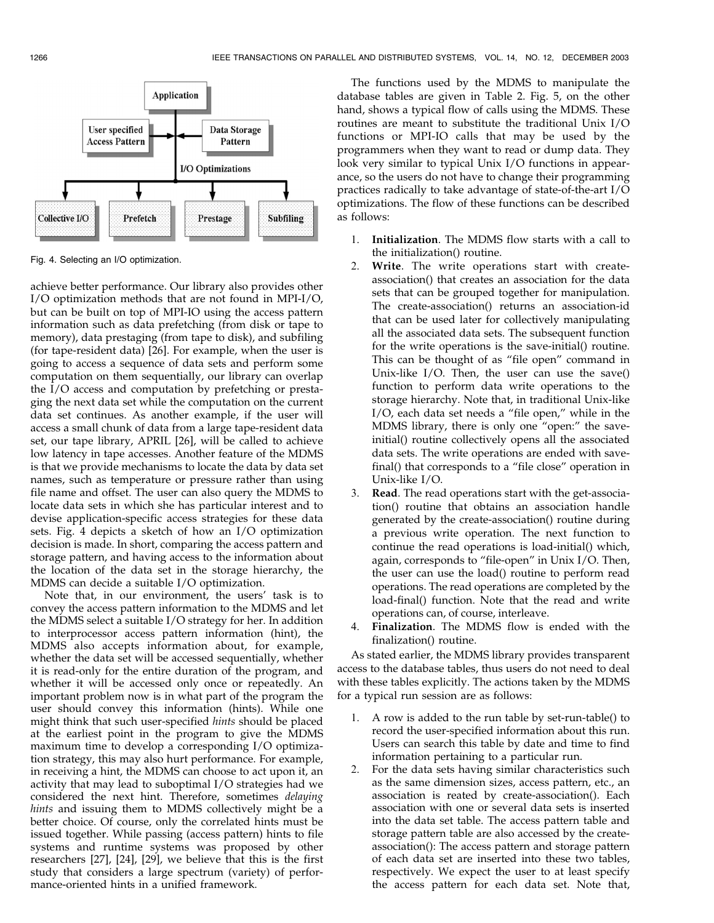

Fig. 4. Selecting an I/O optimization.

achieve better performance. Our library also provides other I/O optimization methods that are not found in MPI-I/O, but can be built on top of MPI-IO using the access pattern information such as data prefetching (from disk or tape to memory), data prestaging (from tape to disk), and subfiling (for tape-resident data) [26]. For example, when the user is going to access a sequence of data sets and perform some computation on them sequentially, our library can overlap the I/O access and computation by prefetching or prestaging the next data set while the computation on the current data set continues. As another example, if the user will access a small chunk of data from a large tape-resident data set, our tape library, APRIL [26], will be called to achieve low latency in tape accesses. Another feature of the MDMS is that we provide mechanisms to locate the data by data set names, such as temperature or pressure rather than using file name and offset. The user can also query the MDMS to locate data sets in which she has particular interest and to devise application-specific access strategies for these data sets. Fig. 4 depicts a sketch of how an I/O optimization decision is made. In short, comparing the access pattern and storage pattern, and having access to the information about the location of the data set in the storage hierarchy, the MDMS can decide a suitable I/O optimization.

Note that, in our environment, the users' task is to convey the access pattern information to the MDMS and let the MDMS select a suitable I/O strategy for her. In addition to interprocessor access pattern information (hint), the MDMS also accepts information about, for example, whether the data set will be accessed sequentially, whether it is read-only for the entire duration of the program, and whether it will be accessed only once or repeatedly. An important problem now is in what part of the program the user should convey this information (hints). While one might think that such user-specified hints should be placed at the earliest point in the program to give the MDMS maximum time to develop a corresponding I/O optimization strategy, this may also hurt performance. For example, in receiving a hint, the MDMS can choose to act upon it, an activity that may lead to suboptimal I/O strategies had we considered the next hint. Therefore, sometimes delaying hints and issuing them to MDMS collectively might be a better choice. Of course, only the correlated hints must be issued together. While passing (access pattern) hints to file systems and runtime systems was proposed by other researchers [27], [24], [29], we believe that this is the first study that considers a large spectrum (variety) of performance-oriented hints in a unified framework.

The functions used by the MDMS to manipulate the database tables are given in Table 2. Fig. 5, on the other hand, shows a typical flow of calls using the MDMS. These routines are meant to substitute the traditional Unix I/O functions or MPI-IO calls that may be used by the programmers when they want to read or dump data. They look very similar to typical Unix I/O functions in appearance, so the users do not have to change their programming practices radically to take advantage of state-of-the-art I/O optimizations. The flow of these functions can be described as follows:

- 1. Initialization. The MDMS flow starts with a call to the initialization() routine.
- 2. Write. The write operations start with createassociation() that creates an association for the data sets that can be grouped together for manipulation. The create-association() returns an association-id that can be used later for collectively manipulating all the associated data sets. The subsequent function for the write operations is the save-initial() routine. This can be thought of as "file open" command in Unix-like I/O. Then, the user can use the save() function to perform data write operations to the storage hierarchy. Note that, in traditional Unix-like I/O, each data set needs a "file open," while in the MDMS library, there is only one "open:" the saveinitial() routine collectively opens all the associated data sets. The write operations are ended with savefinal() that corresponds to a "file close" operation in Unix-like I/O.
- 3. Read. The read operations start with the get-association() routine that obtains an association handle generated by the create-association() routine during a previous write operation. The next function to continue the read operations is load-initial() which, again, corresponds to "file-open" in Unix I/O. Then, the user can use the load() routine to perform read operations. The read operations are completed by the load-final() function. Note that the read and write operations can, of course, interleave.
- Finalization. The MDMS flow is ended with the finalization() routine.

As stated earlier, the MDMS library provides transparent access to the database tables, thus users do not need to deal with these tables explicitly. The actions taken by the MDMS for a typical run session are as follows:

- 1. A row is added to the run table by set-run-table() to record the user-specified information about this run. Users can search this table by date and time to find information pertaining to a particular run.
- 2. For the data sets having similar characteristics such as the same dimension sizes, access pattern, etc., an association is reated by create-association(). Each association with one or several data sets is inserted into the data set table. The access pattern table and storage pattern table are also accessed by the createassociation(): The access pattern and storage pattern of each data set are inserted into these two tables, respectively. We expect the user to at least specify the access pattern for each data set. Note that,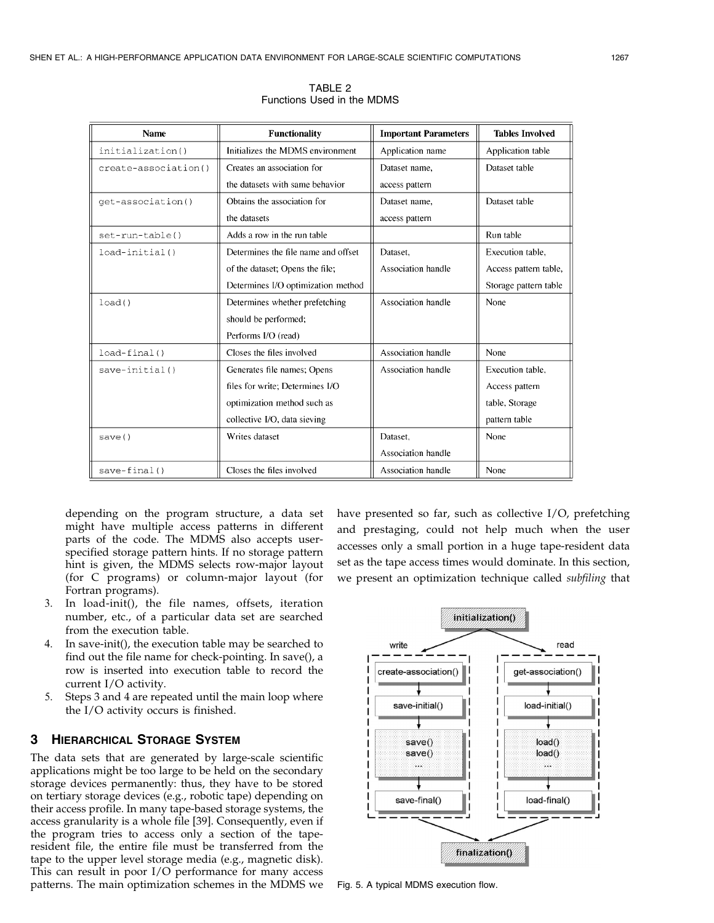| <b>Name</b>          | <b>Functionality</b>                | <b>Important Parameters</b> | <b>Tables Involved</b> |
|----------------------|-------------------------------------|-----------------------------|------------------------|
| initialization()     | Initializes the MDMS environment    | Application name            | Application table      |
| create-association() | Creates an association for          | Dataset name.               | Dataset table          |
|                      | the datasets with same behavior     | access pattern              |                        |
| get-association()    | Obtains the association for         | Dataset name,               | Dataset table          |
|                      | the datasets                        | access pattern              |                        |
| $set-run-table()$    | Adds a row in the run table         |                             | Run table              |
| $load$ -initial $()$ | Determines the file name and offset | Dataset.                    | Execution table,       |
|                      | of the dataset; Opens the file;     | Association handle          | Access pattern table,  |
|                      | Determines I/O optimization method  |                             | Storage pattern table  |
| load()               | Determines whether prefetching      | Association handle          | None                   |
|                      | should be performed;                |                             |                        |
|                      | Performs I/O (read)                 |                             |                        |
| $load-final()$       | Closes the files involved           | Association handle          | None                   |
| $save = initial()$   | Generates file names; Opens         | Association handle          | Execution table.       |
|                      | files for write; Determines I/O     |                             | Access pattern         |
|                      | optimization method such as         |                             | table, Storage         |
|                      | collective I/O, data sieving        |                             | pattern table          |
| save()               | Writes dataset                      | Dataset.                    | None                   |
|                      |                                     | Association handle          |                        |
| $save-final()$       | Closes the files involved           | Association handle          | None                   |

TABLE 2 Functions Used in the MDMS

depending on the program structure, a data set might have multiple access patterns in different parts of the code. The MDMS also accepts userspecified storage pattern hints. If no storage pattern hint is given, the MDMS selects row-major layout (for C programs) or column-major layout (for Fortran programs).

- 3. In load-init(), the file names, offsets, iteration number, etc., of a particular data set are searched from the execution table.
- In save-init(), the execution table may be searched to find out the file name for check-pointing. In save(), a row is inserted into execution table to record the current I/O activity.
- 5. Steps 3 and 4 are repeated until the main loop where the I/O activity occurs is finished.

# 3 HIERARCHICAL STORAGE SYSTEM

The data sets that are generated by large-scale scientific applications might be too large to be held on the secondary storage devices permanently: thus, they have to be stored on tertiary storage devices (e.g., robotic tape) depending on their access profile. In many tape-based storage systems, the access granularity is a whole file [39]. Consequently, even if the program tries to access only a section of the taperesident file, the entire file must be transferred from the tape to the upper level storage media (e.g., magnetic disk). This can result in poor I/O performance for many access patterns. The main optimization schemes in the MDMS we

have presented so far, such as collective I/O, prefetching and prestaging, could not help much when the user accesses only a small portion in a huge tape-resident data set as the tape access times would dominate. In this section, we present an optimization technique called subfiling that



Fig. 5. A typical MDMS execution flow.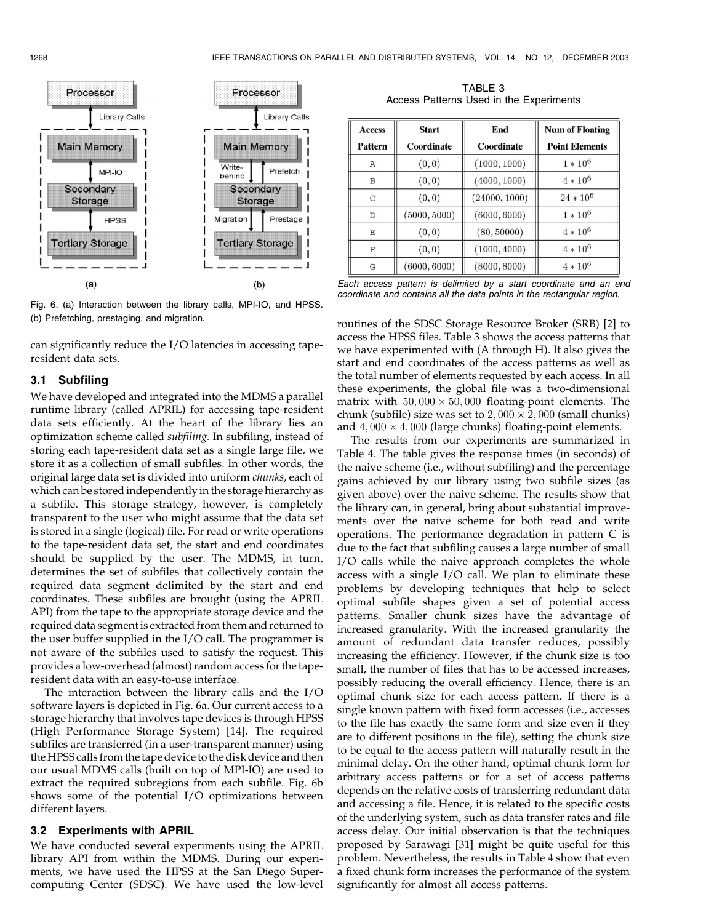

Fig. 6. (a) Interaction between the library calls, MPI-IO, and HPSS. (b) Prefetching, prestaging, and migration.

can significantly reduce the I/O latencies in accessing taperesident data sets.

#### 3.1 Subfiling

We have developed and integrated into the MDMS a parallel runtime library (called APRIL) for accessing tape-resident data sets efficiently. At the heart of the library lies an optimization scheme called subfiling. In subfiling, instead of storing each tape-resident data set as a single large file, we store it as a collection of small subfiles. In other words, the original large data set is divided into uniform chunks, each of which can be stored independently in the storage hierarchy as a subfile. This storage strategy, however, is completely transparent to the user who might assume that the data set is stored in a single (logical) file. For read or write operations to the tape-resident data set, the start and end coordinates should be supplied by the user. The MDMS, in turn, determines the set of subfiles that collectively contain the required data segment delimited by the start and end coordinates. These subfiles are brought (using the APRIL API) from the tape to the appropriate storage device and the required data segment is extracted from them and returned to the user buffer supplied in the I/O call. The programmer is not aware of the subfiles used to satisfy the request. This provides a low-overhead (almost) random access for the taperesident data with an easy-to-use interface.

The interaction between the library calls and the I/O software layers is depicted in Fig. 6a. Our current access to a storage hierarchy that involves tape devices is through HPSS (High Performance Storage System) [14]. The required subfiles are transferred (in a user-transparent manner) using the HPSS calls from the tape device to the disk device and then our usual MDMS calls (built on top of MPI-IO) are used to extract the required subregions from each subfile. Fig. 6b shows some of the potential I/O optimizations between different layers.

#### 3.2 Experiments with APRIL

We have conducted several experiments using the APRIL library API from within the MDMS. During our experiments, we have used the HPSS at the San Diego Supercomputing Center (SDSC). We have used the low-level

TABLE 3 Access Patterns Used in the Experiments

| <b>Access</b><br><b>Pattern</b> | <b>Start</b><br>Coordinate | End<br>Coordinate | <b>Num of Floating</b><br><b>Point Elements</b> |  |
|---------------------------------|----------------------------|-------------------|-------------------------------------------------|--|
| A                               | (0, 0)                     | (1000, 1000)      | $1 * 10^6$                                      |  |
| B                               | (0, 0)                     | (4000, 1000)      | $4 * 10^6$                                      |  |
| C                               | (0, 0)                     | (24000, 1000)     | $24 * 10^6$                                     |  |
| D                               | (5000, 5000)               | (6000, 6000)      | $1 * 10^6$                                      |  |
| E                               | (0, 0)                     | (80, 50000)       | $4 * 10^6$                                      |  |
| $_{\rm F}$                      | (0, 0)                     | (1000, 4000)      | $4 * 10^6$                                      |  |
| G                               | (6000, 6000)               | (8000, 8000)      | $4 * 10^6$                                      |  |

Each access pattern is delimited by a start coordinate and an end coordinate and contains all the data points in the rectangular region.

routines of the SDSC Storage Resource Broker (SRB) [2] to access the HPSS files. Table 3 shows the access patterns that we have experimented with (A through H). It also gives the start and end coordinates of the access patterns as well as the total number of elements requested by each access. In all these experiments, the global file was a two-dimensional matrix with  $50,000 \times 50,000$  floating-point elements. The chunk (subfile) size was set to  $2,000 \times 2,000$  (small chunks) and  $4,000 \times 4,000$  (large chunks) floating-point elements.

The results from our experiments are summarized in Table 4. The table gives the response times (in seconds) of the naive scheme (i.e., without subfiling) and the percentage gains achieved by our library using two subfile sizes (as given above) over the naive scheme. The results show that the library can, in general, bring about substantial improvements over the naive scheme for both read and write operations. The performance degradation in pattern C is due to the fact that subfiling causes a large number of small I/O calls while the naive approach completes the whole access with a single I/O call. We plan to eliminate these problems by developing techniques that help to select optimal subfile shapes given a set of potential access patterns. Smaller chunk sizes have the advantage of increased granularity. With the increased granularity the amount of redundant data transfer reduces, possibly increasing the efficiency. However, if the chunk size is too small, the number of files that has to be accessed increases, possibly reducing the overall efficiency. Hence, there is an optimal chunk size for each access pattern. If there is a single known pattern with fixed form accesses (i.e., accesses to the file has exactly the same form and size even if they are to different positions in the file), setting the chunk size to be equal to the access pattern will naturally result in the minimal delay. On the other hand, optimal chunk form for arbitrary access patterns or for a set of access patterns depends on the relative costs of transferring redundant data and accessing a file. Hence, it is related to the specific costs of the underlying system, such as data transfer rates and file access delay. Our initial observation is that the techniques proposed by Sarawagi [31] might be quite useful for this problem. Nevertheless, the results in Table 4 show that even a fixed chunk form increases the performance of the system significantly for almost all access patterns.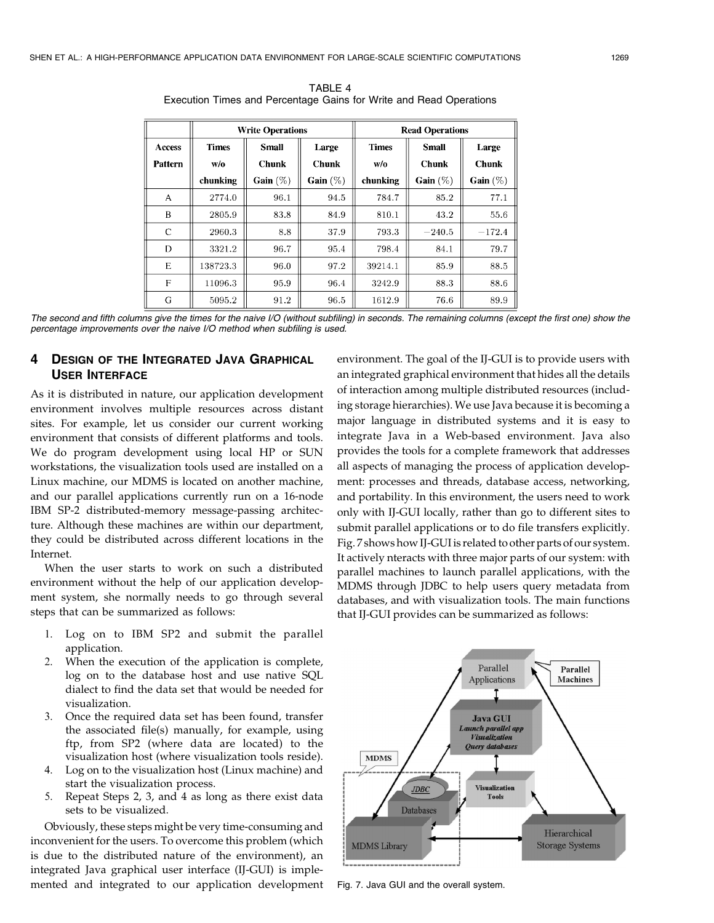|                |              | <b>Write Operations</b> |              | <b>Read Operations</b> |              |              |  |
|----------------|--------------|-------------------------|--------------|------------------------|--------------|--------------|--|
| <b>Access</b>  | <b>Times</b> | <b>Small</b>            | Large        |                        | <b>Small</b> | Large        |  |
| <b>Pattern</b> | W/0          | <b>Chunk</b>            | <b>Chunk</b> | W/0                    | <b>Chunk</b> | <b>Chunk</b> |  |
|                | chunking     | Gain $(\%)$             | Gain $(\%)$  | chunking               | Gain $(\%)$  | Gain $(\%)$  |  |
| A              | 2774.0       | 96.1                    | 94.5         | 784.7                  | 85.2         | 77.1         |  |
| B              | 2805.9       | 83.8                    | 84.9         | 810.1                  | 43.2         | 55.6         |  |
| $\mathcal{C}$  | 2960.3       | 8.8                     | 37.9         | 793.3                  | $-240.5$     | $-172.4$     |  |
| D              | 3321.2       | 96.7                    | 95.4         | 798.4                  | 84.1         | 79.7         |  |
| E              | 138723.3     | 96.0                    | 97.2         | 39214.1                | 85.9         | 88.5         |  |
| F              | 11096.3      | 95.9                    | 96.4         | 3242.9                 | 88.3         | 88.6         |  |
| G              | 5095.2       | 91.2                    | 96.5         | 1612.9                 | 76.6         | 89.9         |  |

TABLE 4 Execution Times and Percentage Gains for Write and Read Operations

The second and fifth columns give the times for the naive I/O (without subfiling) in seconds. The remaining columns (except the first one) show the percentage improvements over the naive I/O method when subfiling is used.

# 4 DESIGN OF THE INTEGRATED JAVA GRAPHICAL USER INTERFACE

As it is distributed in nature, our application development environment involves multiple resources across distant sites. For example, let us consider our current working environment that consists of different platforms and tools. We do program development using local HP or SUN workstations, the visualization tools used are installed on a Linux machine, our MDMS is located on another machine, and our parallel applications currently run on a 16-node IBM SP-2 distributed-memory message-passing architecture. Although these machines are within our department, they could be distributed across different locations in the Internet.

When the user starts to work on such a distributed environment without the help of our application development system, she normally needs to go through several steps that can be summarized as follows:

- 1. Log on to IBM SP2 and submit the parallel application.
- 2. When the execution of the application is complete, log on to the database host and use native SQL dialect to find the data set that would be needed for visualization.
- 3. Once the required data set has been found, transfer the associated file(s) manually, for example, using ftp, from SP2 (where data are located) to the visualization host (where visualization tools reside).
- 4. Log on to the visualization host (Linux machine) and start the visualization process.
- 5. Repeat Steps 2, 3, and 4 as long as there exist data sets to be visualized.

Obviously, these steps might be very time-consuming and inconvenient for the users. To overcome this problem (which is due to the distributed nature of the environment), an integrated Java graphical user interface (IJ-GUI) is implemented and integrated to our application development environment. The goal of the IJ-GUI is to provide users with an integrated graphical environment that hides all the details of interaction among multiple distributed resources (including storage hierarchies). We use Java because it is becoming a major language in distributed systems and it is easy to integrate Java in a Web-based environment. Java also provides the tools for a complete framework that addresses all aspects of managing the process of application development: processes and threads, database access, networking, and portability. In this environment, the users need to work only with IJ-GUI locally, rather than go to different sites to submit parallel applications or to do file transfers explicitly. Fig. 7 shows how IJ-GUI is related to other parts of our system. It actively nteracts with three major parts of our system: with parallel machines to launch parallel applications, with the MDMS through JDBC to help users query metadata from databases, and with visualization tools. The main functions that IJ-GUI provides can be summarized as follows:



Fig. 7. Java GUI and the overall system.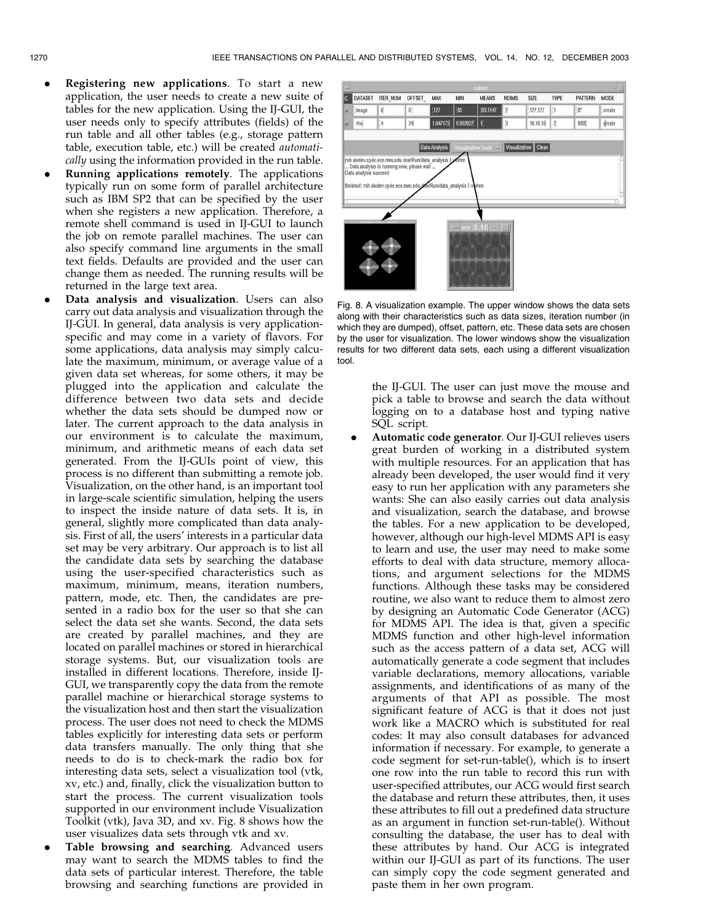- Registering new applications. To start a new application, the user needs to create a new suite of tables for the new application. Using the IJ-GUI, the user needs only to specify attributes (fields) of the run table and all other tables (e.g., storage pattern table, execution table, etc.) will be created automatically using the information provided in the run table.
- . Running applications remotely. The applications typically run on some form of parallel architecture such as IBM SP2 that can be specified by the user when she registers a new application. Therefore, a remote shell command is used in IJ-GUI to launch the job on remote parallel machines. The user can also specify command line arguments in the small text fields. Defaults are provided and the user can change them as needed. The running results will be returned in the large text area.
- . Data analysis and visualization. Users can also carry out data analysis and visualization through the IJ-GUI. In general, data analysis is very applicationspecific and may come in a variety of flavors. For some applications, data analysis may simply calculate the maximum, minimum, or average value of a given data set whereas, for some others, it may be plugged into the application and calculate the difference between two data sets and decide whether the data sets should be dumped now or later. The current approach to the data analysis in our environment is to calculate the maximum, minimum, and arithmetic means of each data set generated. From the IJ-GUIs point of view, this process is no different than submitting a remote job. Visualization, on the other hand, is an important tool in large-scale scientific simulation, helping the users to inspect the inside nature of data sets. It is, in general, slightly more complicated than data analysis. First of all, the users' interests in a particular data set may be very arbitrary. Our approach is to list all the candidate data sets by searching the database using the user-specified characteristics such as maximum, minimum, means, iteration numbers, pattern, mode, etc. Then, the candidates are presented in a radio box for the user so that she can select the data set she wants. Second, the data sets are created by parallel machines, and they are located on parallel machines or stored in hierarchical storage systems. But, our visualization tools are installed in different locations. Therefore, inside IJ-GUI, we transparently copy the data from the remote parallel machine or hierarchical storage systems to the visualization host and then start the visualization process. The user does not need to check the MDMS tables explicitly for interesting data sets or perform data transfers manually. The only thing that she needs to do is to check-mark the radio box for interesting data sets, select a visualization tool (vtk, xv, etc.) and, finally, click the visualization button to start the process. The current visualization tools supported in our environment include Visualization Toolkit (vtk), Java 3D, and xv. Fig. 8 shows how the user visualizes data sets through vtk and xv.
- . Table browsing and searching. Advanced users may want to search the MDMS tables to find the data sets of particular interest. Therefore, the table browsing and searching functions are provided in



Fig. 8. A visualization example. The upper window shows the data sets along with their characteristics such as data sizes, iteration number (in which they are dumped), offset, pattern, etc. These data sets are chosen by the user for visualization. The lower windows show the visualization results for two different data sets, each using a different visualization tool.

the IJ-GUI. The user can just move the mouse and pick a table to browse and search the data without logging on to a database host and typing native SQL script.

. Automatic code generator. Our IJ-GUI relieves users great burden of working in a distributed system with multiple resources. For an application that has already been developed, the user would find it very easy to run her application with any parameters she wants: She can also easily carries out data analysis and visualization, search the database, and browse the tables. For a new application to be developed, however, although our high-level MDMS API is easy to learn and use, the user may need to make some efforts to deal with data structure, memory allocations, and argument selections for the MDMS functions. Although these tasks may be considered routine, we also want to reduce them to almost zero by designing an Automatic Code Generator (ACG) for MDMS API. The idea is that, given a specific MDMS function and other high-level information such as the access pattern of a data set, ACG will automatically generate a code segment that includes variable declarations, memory allocations, variable assignments, and identifications of as many of the arguments of that API as possible. The most significant feature of ACG is that it does not just work like a MACRO which is substituted for real codes: It may also consult databases for advanced information if necessary. For example, to generate a code segment for set-run-table(), which is to insert one row into the run table to record this run with user-specified attributes, our ACG would first search the database and return these attributes, then, it uses these attributes to fill out a predefined data structure as an argument in function set-run-table(). Without consulting the database, the user has to deal with these attributes by hand. Our ACG is integrated within our IJ-GUI as part of its functions. The user can simply copy the code segment generated and paste them in her own program.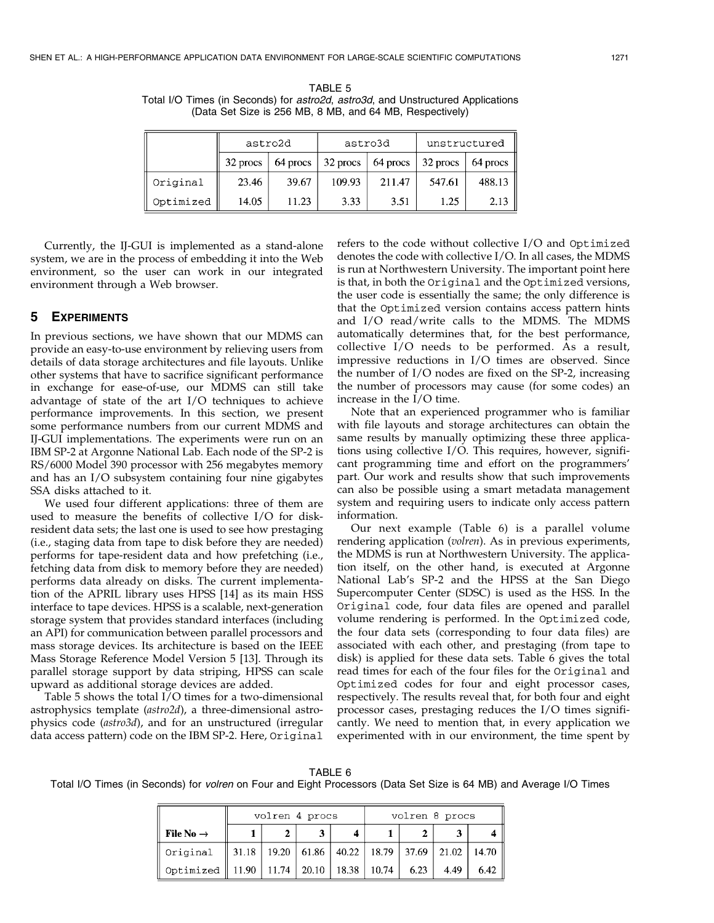TABLE 5 Total I/O Times (in Seconds) for astro2d, astro3d, and Unstructured Applications (Data Set Size is 256 MB, 8 MB, and 64 MB, Respectively)

|           | astro2d  |          |          | astro3d  | unstructured |          |
|-----------|----------|----------|----------|----------|--------------|----------|
|           | 32 procs | 64 procs | 32 procs | 64 procs | 32 procs     | 64 procs |
| Original  | 23.46    | 39.67    | 109.93   | 211.47   | 547.61       | 488.13   |
| Optimized | 14.05    | 11.23    | 3.33     | 3.51     | 1.25         | 2.13     |

Currently, the IJ-GUI is implemented as a stand-alone system, we are in the process of embedding it into the Web environment, so the user can work in our integrated environment through a Web browser.

# 5 EXPERIMENTS

In previous sections, we have shown that our MDMS can provide an easy-to-use environment by relieving users from details of data storage architectures and file layouts. Unlike other systems that have to sacrifice significant performance in exchange for ease-of-use, our MDMS can still take advantage of state of the art I/O techniques to achieve performance improvements. In this section, we present some performance numbers from our current MDMS and IJ-GUI implementations. The experiments were run on an IBM SP-2 at Argonne National Lab. Each node of the SP-2 is RS/6000 Model 390 processor with 256 megabytes memory and has an I/O subsystem containing four nine gigabytes SSA disks attached to it.

We used four different applications: three of them are used to measure the benefits of collective I/O for diskresident data sets; the last one is used to see how prestaging (i.e., staging data from tape to disk before they are needed) performs for tape-resident data and how prefetching (i.e., fetching data from disk to memory before they are needed) performs data already on disks. The current implementation of the APRIL library uses HPSS [14] as its main HSS interface to tape devices. HPSS is a scalable, next-generation storage system that provides standard interfaces (including an API) for communication between parallel processors and mass storage devices. Its architecture is based on the IEEE Mass Storage Reference Model Version 5 [13]. Through its parallel storage support by data striping, HPSS can scale upward as additional storage devices are added.

Table 5 shows the total I/O times for a two-dimensional astrophysics template (astro2d), a three-dimensional astrophysics code (astro3d), and for an unstructured (irregular data access pattern) code on the IBM SP-2. Here, Original refers to the code without collective I/O and Optimized denotes the code with collective I/O. In all cases, the MDMS is run at Northwestern University. The important point here is that, in both the Original and the Optimized versions, the user code is essentially the same; the only difference is that the Optimized version contains access pattern hints and I/O read/write calls to the MDMS. The MDMS automatically determines that, for the best performance, collective I/O needs to be performed. As a result, impressive reductions in I/O times are observed. Since the number of I/O nodes are fixed on the SP-2, increasing the number of processors may cause (for some codes) an increase in the I/O time.

Note that an experienced programmer who is familiar with file layouts and storage architectures can obtain the same results by manually optimizing these three applications using collective I/O. This requires, however, significant programming time and effort on the programmers' part. Our work and results show that such improvements can also be possible using a smart metadata management system and requiring users to indicate only access pattern information.

Our next example (Table 6) is a parallel volume rendering application (volren). As in previous experiments, the MDMS is run at Northwestern University. The application itself, on the other hand, is executed at Argonne National Lab's SP-2 and the HPSS at the San Diego Supercomputer Center (SDSC) is used as the HSS. In the Original code, four data files are opened and parallel volume rendering is performed. In the Optimized code, the four data sets (corresponding to four data files) are associated with each other, and prestaging (from tape to disk) is applied for these data sets. Table 6 gives the total read times for each of the four files for the Original and Optimized codes for four and eight processor cases, respectively. The results reveal that, for both four and eight processor cases, prestaging reduces the I/O times significantly. We need to mention that, in every application we experimented with in our environment, the time spent by

#### TABLE 6

Total I/O Times (in Seconds) for volren on Four and Eight Processors (Data Set Size is 64 MB) and Average I/O Times

|                                                    | volren 4 procs                                                            |  |  |  | volren 8 procs |      |      |
|----------------------------------------------------|---------------------------------------------------------------------------|--|--|--|----------------|------|------|
| File No $\rightarrow$                              |                                                                           |  |  |  |                |      |      |
| ∥ Original                                         | $\parallel$ 31.18   19.20   61.86   40.22   18.79   37.69   21.02   14.70 |  |  |  |                |      |      |
| Optimized    11.90   11.74   20.10   18.38   10.74 |                                                                           |  |  |  | 6.23           | 4.49 | 6.42 |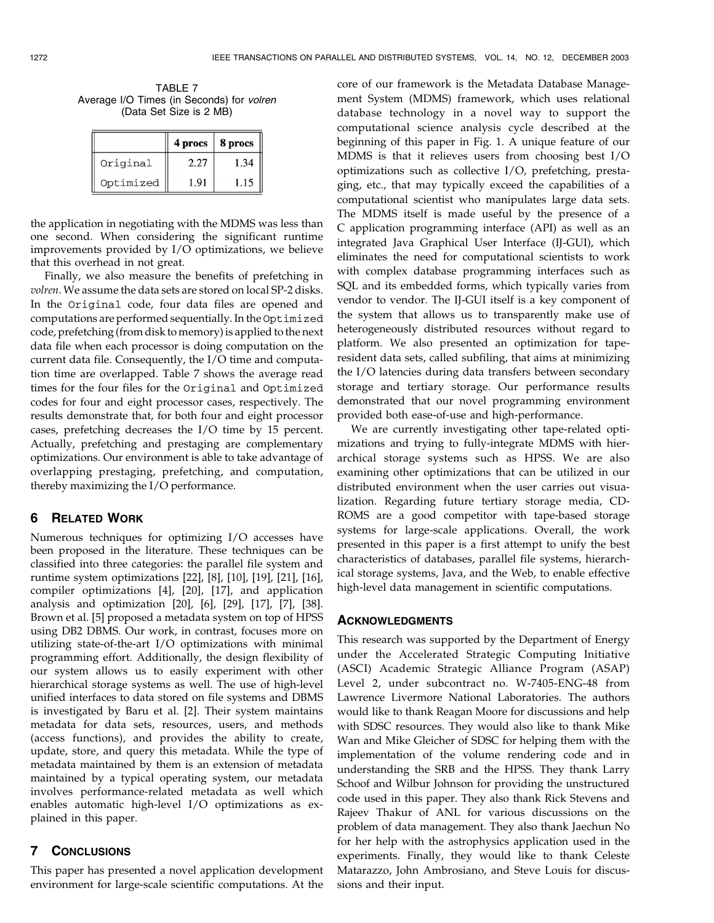TABLE 7 Average I/O Times (in Seconds) for volren (Data Set Size is 2 MB)

|           | 4 procs | 8 procs |
|-----------|---------|---------|
| Original  | 2.27    | 1.34    |
| Optimized | 1.91    | 1.15    |

the application in negotiating with the MDMS was less than one second. When considering the significant runtime improvements provided by I/O optimizations, we believe that this overhead in not great.

Finally, we also measure the benefits of prefetching in volren. We assume the data sets are stored on local SP-2 disks. In the Original code, four data files are opened and computations are performed sequentially. In the Optimized code, prefetching (from disk to memory) is applied to the next data file when each processor is doing computation on the current data file. Consequently, the I/O time and computation time are overlapped. Table 7 shows the average read times for the four files for the Original and Optimized codes for four and eight processor cases, respectively. The results demonstrate that, for both four and eight processor cases, prefetching decreases the I/O time by 15 percent. Actually, prefetching and prestaging are complementary optimizations. Our environment is able to take advantage of overlapping prestaging, prefetching, and computation, thereby maximizing the I/O performance.

#### 6 RELATED WORK

Numerous techniques for optimizing I/O accesses have been proposed in the literature. These techniques can be classified into three categories: the parallel file system and runtime system optimizations [22], [8], [10], [19], [21], [16], compiler optimizations [4], [20], [17], and application analysis and optimization [20], [6], [29], [17], [7], [38]. Brown et al. [5] proposed a metadata system on top of HPSS using DB2 DBMS. Our work, in contrast, focuses more on utilizing state-of-the-art I/O optimizations with minimal programming effort. Additionally, the design flexibility of our system allows us to easily experiment with other hierarchical storage systems as well. The use of high-level unified interfaces to data stored on file systems and DBMS is investigated by Baru et al. [2]. Their system maintains metadata for data sets, resources, users, and methods (access functions), and provides the ability to create, update, store, and query this metadata. While the type of metadata maintained by them is an extension of metadata maintained by a typical operating system, our metadata involves performance-related metadata as well which enables automatic high-level I/O optimizations as explained in this paper.

### 7 CONCLUSIONS

This paper has presented a novel application development environment for large-scale scientific computations. At the

core of our framework is the Metadata Database Management System (MDMS) framework, which uses relational database technology in a novel way to support the computational science analysis cycle described at the beginning of this paper in Fig. 1. A unique feature of our MDMS is that it relieves users from choosing best I/O optimizations such as collective I/O, prefetching, prestaging, etc., that may typically exceed the capabilities of a computational scientist who manipulates large data sets. The MDMS itself is made useful by the presence of a C application programming interface (API) as well as an integrated Java Graphical User Interface (IJ-GUI), which eliminates the need for computational scientists to work with complex database programming interfaces such as SQL and its embedded forms, which typically varies from vendor to vendor. The IJ-GUI itself is a key component of the system that allows us to transparently make use of heterogeneously distributed resources without regard to platform. We also presented an optimization for taperesident data sets, called subfiling, that aims at minimizing the I/O latencies during data transfers between secondary storage and tertiary storage. Our performance results demonstrated that our novel programming environment provided both ease-of-use and high-performance.

We are currently investigating other tape-related optimizations and trying to fully-integrate MDMS with hierarchical storage systems such as HPSS. We are also examining other optimizations that can be utilized in our distributed environment when the user carries out visualization. Regarding future tertiary storage media, CD-ROMS are a good competitor with tape-based storage systems for large-scale applications. Overall, the work presented in this paper is a first attempt to unify the best characteristics of databases, parallel file systems, hierarchical storage systems, Java, and the Web, to enable effective high-level data management in scientific computations.

#### ACKNOWLEDGMENTS

This research was supported by the Department of Energy under the Accelerated Strategic Computing Initiative (ASCI) Academic Strategic Alliance Program (ASAP) Level 2, under subcontract no. W-7405-ENG-48 from Lawrence Livermore National Laboratories. The authors would like to thank Reagan Moore for discussions and help with SDSC resources. They would also like to thank Mike Wan and Mike Gleicher of SDSC for helping them with the implementation of the volume rendering code and in understanding the SRB and the HPSS. They thank Larry Schoof and Wilbur Johnson for providing the unstructured code used in this paper. They also thank Rick Stevens and Rajeev Thakur of ANL for various discussions on the problem of data management. They also thank Jaechun No for her help with the astrophysics application used in the experiments. Finally, they would like to thank Celeste Matarazzo, John Ambrosiano, and Steve Louis for discussions and their input.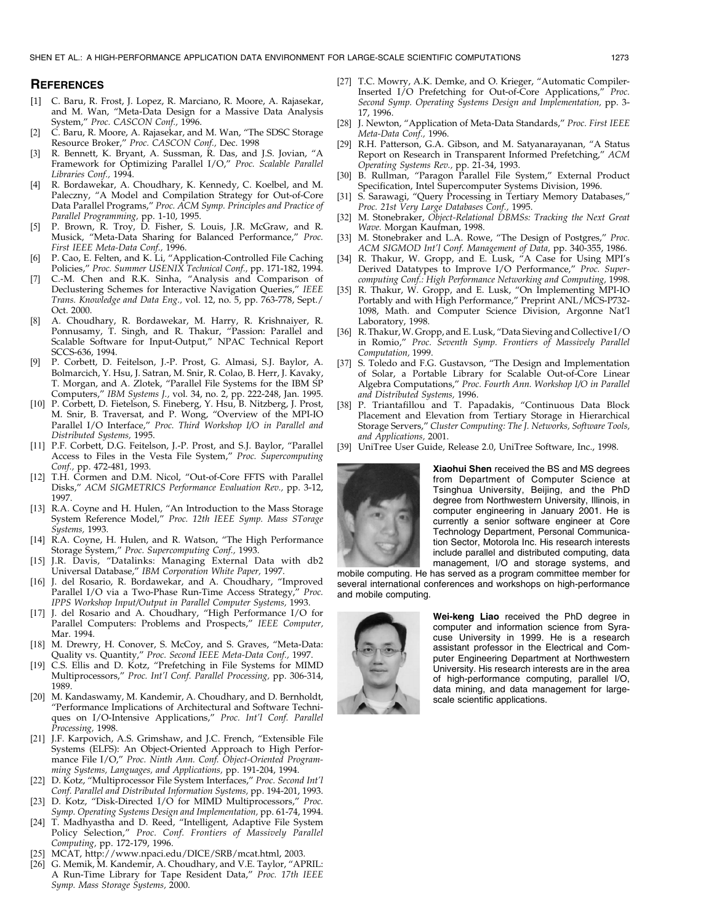#### **REFERENCES**

- [1] C. Baru, R. Frost, J. Lopez, R. Marciano, R. Moore, A. Rajasekar, and M. Wan, "Meta-Data Design for a Massive Data Analysis System," Proc. CASCON Conf., 1996.
- [2] C. Baru, R. Moore, A. Rajasekar, and M. Wan, "The SDSC Storage Resource Broker," Proc. CASCON Conf., Dec. 1998
- R. Bennett, K. Bryant, A. Sussman, R. Das, and J.S. Jovian, "A Framework for Optimizing Parallel I/O," Proc. Scalable Parallel Libraries Conf., 1994.
- [4] R. Bordawekar, A. Choudhary, K. Kennedy, C. Koelbel, and M. Paleczny, "A Model and Compilation Strategy for Out-of-Core Data Parallel Programs," Proc. ACM Symp. Principles and Practice of Parallel Programming, pp. 1-10, 1995.
- [5] P. Brown, R. Troy, D. Fisher, S. Louis, J.R. McGraw, and R. Musick, "Meta-Data Sharing for Balanced Performance," Proc. First IEEE Meta-Data Conf., 1996.
- [6] P. Cao, E. Felten, and K. Li, "Application-Controlled File Caching Policies," Proc. Summer USENIX Technical Conf., pp. 171-182, 1994.
- C.-M. Chen and R.K. Sinha, "Analysis and Comparison of Declustering Schemes for Interactive Navigation Queries," IEEE Trans. Knowledge and Data Eng., vol. 12, no. 5, pp. 763-778, Sept./ Oct. 2000.
- [8] A. Choudhary, R. Bordawekar, M. Harry, R. Krishnaiyer, R. Ponnusamy, T. Singh, and R. Thakur, "Passion: Parallel and Scalable Software for Input-Output," NPAC Technical Report SCCS-636, 1994.
- [9] P. Corbett, D. Feitelson, J.-P. Prost, G. Almasi, S.J. Baylor, A. Bolmarcich, Y. Hsu, J. Satran, M. Snir, R. Colao, B. Herr, J. Kavaky, T. Morgan, and A. Zlotek, "Parallel File Systems for the IBM SP Computers," IBM Systems J., vol. 34, no. 2, pp. 222-248, Jan. 1995.
- [10] P. Corbett, D. Fietelson, S. Fineberg, Y. Hsu, B. Nitzberg, J. Prost, M. Snir, B. Traversat, and P. Wong, "Overview of the MPI-IO Parallel I/O Interface," Proc. Third Workshop I/O in Parallel and Distributed Systems, 1995.
- [11] P.F. Corbett, D.G. Feitelson, J.-P. Prost, and S.J. Baylor, "Parallel Access to Files in the Vesta File System," Proc. Supercomputing Conf., pp. 472-481, 1993.
- [12] T.H. Cormen and D.M. Nicol, "Out-of-Core FFTS with Parallel Disks," ACM SIGMETRICS Performance Evaluation Rev., pp. 3-12, 1997.
- [13] R.A. Coyne and H. Hulen, "An Introduction to the Mass Storage System Reference Model," Proc. 12th IEEE Symp. Mass STorage Systems, 1993.
- [14] R.A. Coyne, H. Hulen, and R. Watson, "The High Performance Storage System," Proc. Supercomputing Conf., 1993.
- [15] J.R. Davis, "Datalinks: Managing External Data with db2 Universal Database," IBM Corporation White Paper, 1997.
- [16] J. del Rosario, R. Bordawekar, and A. Choudhary, "Improved Parallel I/O via a Two-Phase Run-Time Access Strategy," Proc. IPPS Workshop Input/Output in Parallel Computer Systems, 1993.
- [17] J. del Rosario and A. Choudhary, "High Performance I/O for Parallel Computers: Problems and Prospects," IEEE Computer, Mar. 1994.
- [18] M. Drewry, H. Conover, S. McCoy, and S. Graves, "Meta-Data: Quality vs. Quantity," Proc. Second IEEE Meta-Data Conf., 1997.
- [19] C.S. Ellis and D. Kotz, "Prefetching in File Systems for MIMD Multiprocessors," Proc. Int'l Conf. Parallel Processing, pp. 306-314, 1989.
- [20] M. Kandaswamy, M. Kandemir, A. Choudhary, and D. Bernholdt, "Performance Implications of Architectural and Software Techniques on I/O-Intensive Applications," Proc. Int'l Conf. Parallel Processing, 1998.
- [21] J.F. Karpovich, A.S. Grimshaw, and J.C. French, "Extensible File Systems (ELFS): An Object-Oriented Approach to High Performance File I/O," Proc. Ninth Ann. Conf. Object-Oriented Programming Systems, Languages, and Applications, pp. 191-204, 1994.
- [22] D. Kotz, "Multiprocessor File System Interfaces," Proc. Second Int'l Conf. Parallel and Distributed Information Systems, pp. 194-201, 1993.
- [23] D. Kotz, "Disk-Directed I/O for MIMD Multiprocessors," Proc. Symp. Operating Systems Design and Implementation, pp. 61-74, 1994.
- [24] T. Madhyastha and D. Reed, "Intelligent, Adaptive File System Policy Selection," Proc. Conf. Frontiers of Massively Parallel Computing, pp. 172-179, 1996.
- [25] MCAT, http://www.npaci.edu/DICE/SRB/mcat.html, 2003.
- [26] G. Memik, M. Kandemir, A. Choudhary, and V.E. Taylor, "APRIL: A Run-Time Library for Tape Resident Data," Proc. 17th IEEE Symp. Mass Storage Systems, 2000.
- [27] T.C. Mowry, A.K. Demke, and O. Krieger, "Automatic Compiler-Inserted I/O Prefetching for Out-of-Core Applications," Proc. Second Symp. Operating Systems Design and Implementation, pp. 3- 17, 1996.
- [28] J. Newton, "Application of Meta-Data Standards," Proc. First IEEE Meta-Data Conf., 1996.
- [29] R.H. Patterson, G.A. Gibson, and M. Satyanarayanan, "A Status Report on Research in Transparent Informed Prefetching," ACM Operating Systems Rev., pp. 21-34, 1993.
- [30] B. Rullman, "Paragon Parallel File System," External Product Specification, Intel Supercomputer Systems Division, 1996.
- [31] S. Sarawagi, "Query Processing in Tertiary Memory Databases," Proc. 21st Very Large Databases Conf., 1995.
- [32] M. Stonebraker, Object-Relational DBMSs: Tracking the Next Great Wave. Morgan Kaufman, 1998.
- [33] M. Stonebraker and L.A. Rowe, "The Design of Postgres," Proc. ACM SIGMOD Int'l Conf. Management of Data, pp. 340-355, 1986.
- [34] R. Thakur, W. Gropp, and E. Lusk, "A Case for Using MPI's Derived Datatypes to Improve I/O Performance," Proc. Supercomputing Conf.: High Performance Networking and Computing, 1998.
- [35] R. Thakur, W. Gropp, and E. Lusk, "On Implementing MPI-IO Portably and with High Performance," Preprint ANL/MCS-P732- 1098, Math. and Computer Science Division, Argonne Nat'l Laboratory, 1998.
- [36] R. Thakur, W. Gropp, and E. Lusk, "Data Sieving and Collective I/O in Romio," Proc. Seventh Symp. Frontiers of Massively Parallel Computation, 1999.
- [37] S. Toledo and F.G. Gustavson, "The Design and Implementation of Solar, a Portable Library for Scalable Out-of-Core Linear Algebra Computations," Proc. Fourth Ann. Workshop I/O in Parallel and Distributed Systems, 1996.
- [38] P. Triantafillou and T. Papadakis, "Continuous Data Block Placement and Elevation from Tertiary Storage in Hierarchical Storage Servers," Cluster Computing: The J. Networks, Software Tools, and Applications, 2001.
- [39] UniTree User Guide, Release 2.0, UniTree Software, Inc., 1998.



Xiaohui Shen received the BS and MS degrees from Department of Computer Science at Tsinghua University, Beijing, and the PhD degree from Northwestern University, Illinois, in computer engineering in January 2001. He is currently a senior software engineer at Core Technology Department, Personal Communication Sector, Motorola Inc. His research interests include parallel and distributed computing, data management, I/O and storage systems, and

mobile computing. He has served as a program committee member for several international conferences and workshops on high-performance and mobile computing.



Wei-keng Liao received the PhD degree in computer and information science from Syracuse University in 1999. He is a research assistant professor in the Electrical and Computer Engineering Department at Northwestern University. His research interests are in the area of high-performance computing, parallel I/O, data mining, and data management for largescale scientific applications.